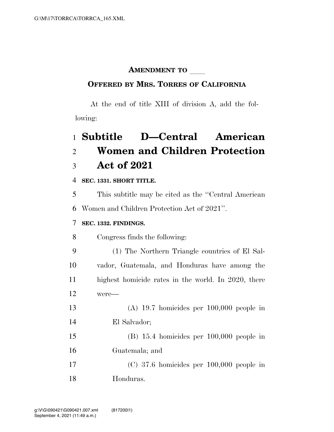### **AMENDMENT TO**

#### **OFFERED BY MRS. TORRES OF CALIFORNIA**

At the end of title XIII of division A, add the following:

# **Subtitle D—Central American Women and Children Protection Act of 2021**

**SEC. 1331. SHORT TITLE.** 

 This subtitle may be cited as the ''Central American Women and Children Protection Act of 2021''.

#### **SEC. 1332. FINDINGS.**

Congress finds the following:

 (1) The Northern Triangle countries of El Sal- vador, Guatemala, and Honduras have among the highest homicide rates in the world. In 2020, there were—

 (A) 19.7 homicides per 100,000 people in El Salvador;

 (B) 15.4 homicides per 100,000 people in Guatemala; and

 (C) 37.6 homicides per 100,000 people in Honduras.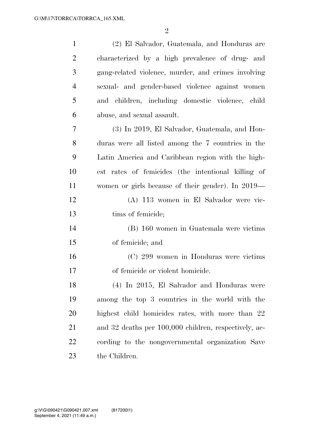| $\mathbf{1}$   | (2) El Salvador, Guatemala, and Honduras are          |
|----------------|-------------------------------------------------------|
| $\overline{2}$ | characterized by a high prevalence of drug- and       |
| 3              | gang-related violence, murder, and crimes involving   |
| $\overline{4}$ | sexual- and gender-based violence against women       |
| 5              | and children, including domestic violence, child      |
| 6              | abuse, and sexual assault.                            |
| 7              | (3) In 2019, El Salvador, Guatemala, and Hon-         |
| 8              | duras were all listed among the 7 countries in the    |
| 9              | Latin America and Caribbean region with the high-     |
| 10             | est rates of femicides (the intentional killing of    |
| 11             | women or girls because of their gender). In 2019—     |
| 12             | (A) 113 women in El Salvador were vic-                |
| 13             | tims of femicide;                                     |
| 14             | (B) 160 women in Guatemala were victims               |
| 15             | of femicide; and                                      |
| 16             | (C) 299 women in Honduras were victims                |
| 17             | of femicide or violent homicide.                      |
| 18             | (4) In 2015, El Salvador and Honduras were            |
| 19             | among the top 3 countries in the world with the       |
| 20             | highest child homicides rates, with more than 22      |
| 21             | and 32 deaths per 100,000 children, respectively, ac- |
| 22             | cording to the nongovernmental organization Save      |
| 23             | the Children.                                         |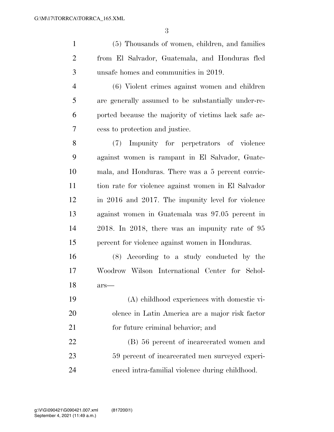(5) Thousands of women, children, and families from El Salvador, Guatemala, and Honduras fled unsafe homes and communities in 2019. (6) Violent crimes against women and children are generally assumed to be substantially under-re- ported because the majority of victims lack safe ac- cess to protection and justice. (7) Impunity for perpetrators of violence against women is rampant in El Salvador, Guate- mala, and Honduras. There was a 5 percent convic- tion rate for violence against women in El Salvador in 2016 and 2017. The impunity level for violence against women in Guatemala was 97.05 percent in 2018. In 2018, there was an impunity rate of 95 percent for violence against women in Honduras.

 (8) According to a study conducted by the Woodrow Wilson International Center for Schol-ars—

 (A) childhood experiences with domestic vi- olence in Latin America are a major risk factor for future criminal behavior; and

 (B) 56 percent of incarcerated women and 59 percent of incarcerated men surveyed experi-enced intra-familial violence during childhood.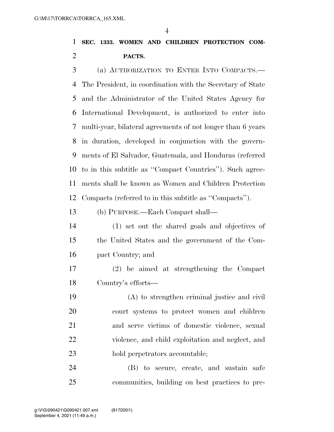### **SEC. 1333. WOMEN AND CHILDREN PROTECTION COM-PACTS.**

 (a) AUTHORIZATION TO ENTER INTO COMPACTS.— The President, in coordination with the Secretary of State and the Administrator of the United States Agency for International Development, is authorized to enter into multi-year, bilateral agreements of not longer than 6 years in duration, developed in conjunction with the govern- ments of El Salvador, Guatemala, and Honduras (referred to in this subtitle as ''Compact Countries''). Such agree- ments shall be known as Women and Children Protection Compacts (referred to in this subtitle as ''Compacts'').

#### (b) PURPOSE.—Each Compact shall—

- (1) set out the shared goals and objectives of the United States and the government of the Com-pact Country; and
- (2) be aimed at strengthening the Compact Country's efforts—
- (A) to strengthen criminal justice and civil court systems to protect women and children and serve victims of domestic violence, sexual violence, and child exploitation and neglect, and hold perpetrators accountable;

 (B) to secure, create, and sustain safe communities, building on best practices to pre-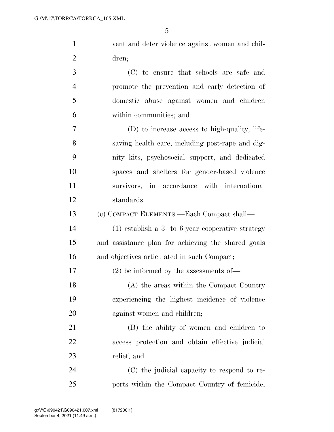| $\mathbf{1}$   | vent and deter violence against women and chil-     |
|----------------|-----------------------------------------------------|
| $\overline{2}$ | dren;                                               |
| 3              | (C) to ensure that schools are safe and             |
| $\overline{4}$ | promote the prevention and early detection of       |
| 5              | domestic abuse against women and children           |
| 6              | within communities; and                             |
| $\overline{7}$ | (D) to increase access to high-quality, life-       |
| 8              | saving health care, including post-rape and dig-    |
| 9              | nity kits, psychosocial support, and dedicated      |
| 10             | spaces and shelters for gender-based violence       |
| 11             | survivors, in accordance with international         |
| 12             | standards.                                          |
| 13             | (c) COMPACT ELEMENTS.—Each Compact shall—           |
| 14             | $(1)$ establish a 3- to 6-year cooperative strategy |
| 15             | and assistance plan for achieving the shared goals  |
| 16             | and objectives articulated in such Compact;         |
| 17             | $(2)$ be informed by the assessments of —           |
| 18             | (A) the areas within the Compact Country            |
| 19             | experiencing the highest incidence of violence      |
| 20             | against women and children;                         |
| 21             | (B) the ability of women and children to            |
| 22             | access protection and obtain effective judicial     |
| 23             | relief; and                                         |
| 24             | (C) the judicial capacity to respond to re-         |

ports within the Compact Country of femicide,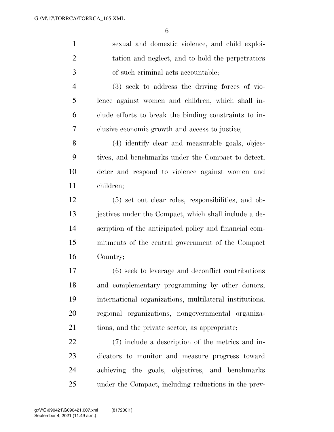| $\mathbf{1}$   | sexual and domestic violence, and child exploi-         |
|----------------|---------------------------------------------------------|
| $\overline{2}$ | tation and neglect, and to hold the perpetrators        |
| $\mathfrak{Z}$ | of such criminal acts accountable;                      |
| $\overline{4}$ | $(3)$ seek to address the driving forces of vio-        |
| 5              | lence against women and children, which shall in-       |
| 6              | clude efforts to break the binding constraints to in-   |
| 7              | clusive economic growth and access to justice;          |
| 8              | (4) identify clear and measurable goals, objec-         |
| 9              | tives, and benchmarks under the Compact to detect,      |
| 10             | deter and respond to violence against women and         |
| 11             | children;                                               |
| 12             | $(5)$ set out clear roles, responsibilities, and ob-    |
| 13             | jectives under the Compact, which shall include a de-   |
| 14             | scription of the anticipated policy and financial com-  |
| 15             | mitments of the central government of the Compact       |
| 16             | Country;                                                |
| 17             | (6) seek to leverage and deconflict contributions       |
| 18             | and complementary programming by other donors,          |
| 19             | international organizations, multilateral institutions, |
| 20             | regional organizations, nongovernmental organiza-       |
| 21             | tions, and the private sector, as appropriate;          |
| 22             | (7) include a description of the metrics and in-        |
| 23             | dicators to monitor and measure progress toward         |
| 24             | achieving the goals, objectives, and benchmarks         |
| 25             | under the Compact, including reductions in the prev-    |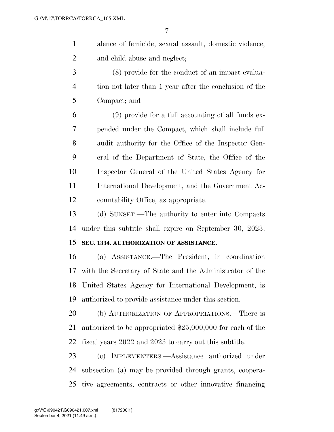- alence of femicide, sexual assault, domestic violence, and child abuse and neglect;
- (8) provide for the conduct of an impact evalua- tion not later than 1 year after the conclusion of the Compact; and

 (9) provide for a full accounting of all funds ex- pended under the Compact, which shall include full audit authority for the Office of the Inspector Gen- eral of the Department of State, the Office of the Inspector General of the United States Agency for International Development, and the Government Ac-countability Office, as appropriate.

 (d) SUNSET.—The authority to enter into Compacts under this subtitle shall expire on September 30, 2023.

#### **SEC. 1334. AUTHORIZATION OF ASSISTANCE.**

 (a) ASSISTANCE.—The President, in coordination with the Secretary of State and the Administrator of the United States Agency for International Development, is authorized to provide assistance under this section.

 (b) AUTHORIZATION OF APPROPRIATIONS.—There is authorized to be appropriated \$25,000,000 for each of the fiscal years 2022 and 2023 to carry out this subtitle.

 (c) IMPLEMENTERS.—Assistance authorized under subsection (a) may be provided through grants, coopera-tive agreements, contracts or other innovative financing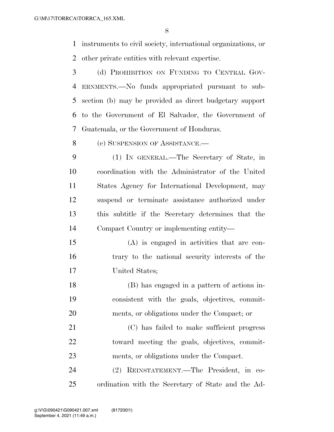instruments to civil society, international organizations, or other private entities with relevant expertise.

 (d) PROHIBITION ON FUNDING TO CENTRAL GOV- ERNMENTS.—No funds appropriated pursuant to sub- section (b) may be provided as direct budgetary support to the Government of El Salvador, the Government of Guatemala, or the Government of Honduras.

(e) SUSPENSION OF ASSISTANCE.—

 (1) IN GENERAL.—The Secretary of State, in coordination with the Administrator of the United States Agency for International Development, may suspend or terminate assistance authorized under this subtitle if the Secretary determines that the Compact Country or implementing entity—

 (A) is engaged in activities that are con- trary to the national security interests of the United States;

 (B) has engaged in a pattern of actions in- consistent with the goals, objectives, commit-ments, or obligations under the Compact; or

 (C) has failed to make sufficient progress toward meeting the goals, objectives, commit-ments, or obligations under the Compact.

 (2) REINSTATEMENT.—The President, in co-ordination with the Secretary of State and the Ad-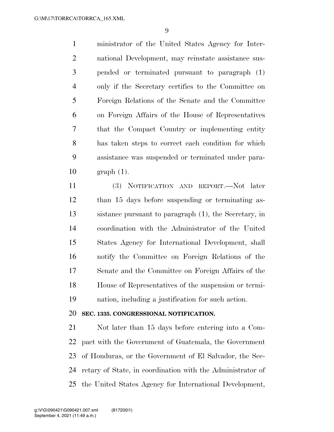ministrator of the United States Agency for Inter- national Development, may reinstate assistance sus- pended or terminated pursuant to paragraph (1) only if the Secretary certifies to the Committee on Foreign Relations of the Senate and the Committee on Foreign Affairs of the House of Representatives that the Compact Country or implementing entity has taken steps to correct each condition for which assistance was suspended or terminated under para-graph (1).

 (3) NOTIFICATION AND REPORT.—Not later than 15 days before suspending or terminating as- sistance pursuant to paragraph (1), the Secretary, in coordination with the Administrator of the United States Agency for International Development, shall notify the Committee on Foreign Relations of the Senate and the Committee on Foreign Affairs of the House of Representatives of the suspension or termi-nation, including a justification for such action.

#### **SEC. 1335. CONGRESSIONAL NOTIFICATION.**

 Not later than 15 days before entering into a Com- pact with the Government of Guatemala, the Government of Honduras, or the Government of El Salvador, the Sec- retary of State, in coordination with the Administrator of the United States Agency for International Development,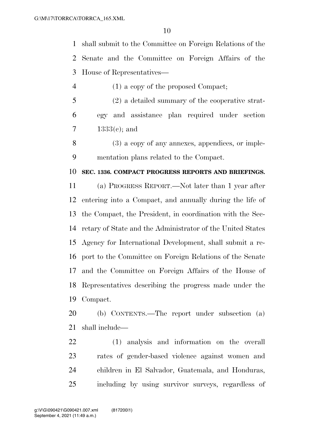shall submit to the Committee on Foreign Relations of the Senate and the Committee on Foreign Affairs of the House of Representatives—

4 (1) a copy of the proposed Compact;

 (2) a detailed summary of the cooperative strat- egy and assistance plan required under section 1333(c); and

 (3) a copy of any annexes, appendices, or imple-mentation plans related to the Compact.

#### **SEC. 1336. COMPACT PROGRESS REPORTS AND BRIEFINGS.**

 (a) PROGRESS REPORT.—Not later than 1 year after entering into a Compact, and annually during the life of the Compact, the President, in coordination with the Sec- retary of State and the Administrator of the United States Agency for International Development, shall submit a re- port to the Committee on Foreign Relations of the Senate and the Committee on Foreign Affairs of the House of Representatives describing the progress made under the Compact.

 (b) CONTENTS.—The report under subsection (a) shall include—

 (1) analysis and information on the overall rates of gender-based violence against women and children in El Salvador, Guatemala, and Honduras, including by using survivor surveys, regardless of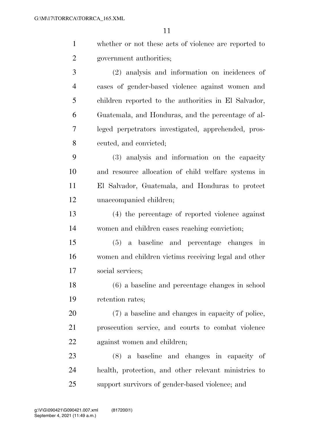| $\mathbf{1}$   | whether or not these acts of violence are reported to  |
|----------------|--------------------------------------------------------|
| $\overline{2}$ | government authorities;                                |
| 3              | (2) analysis and information on incidences of          |
| $\overline{4}$ | cases of gender-based violence against women and       |
| 5              | children reported to the authorities in El Salvador,   |
| 6              | Guatemala, and Honduras, and the percentage of al-     |
| 7              | leged perpetrators investigated, apprehended, pros-    |
| 8              | ecuted, and convicted;                                 |
| 9              | (3) analysis and information on the capacity           |
| 10             | and resource allocation of child welfare systems in    |
| 11             | El Salvador, Guatemala, and Honduras to protect        |
| 12             | unaccompanied children;                                |
| 13             | (4) the percentage of reported violence against        |
| 14             | women and children cases reaching conviction;          |
| 15             | a baseline and percentage changes<br>(5)<br>$\cdot$ in |
| 16             | women and children victims receiving legal and other   |
| 17             | social services;                                       |
| 18             | (6) a baseline and percentage changes in school        |
| 19             | retention rates;                                       |
| 20             | (7) a baseline and changes in capacity of police,      |
| 21             | prosecution service, and courts to combat violence     |
| 22             | against women and children;                            |
| 23             | (8) a baseline and changes in capacity of              |
| 24             | health, protection, and other relevant ministries to   |

support survivors of gender-based violence; and